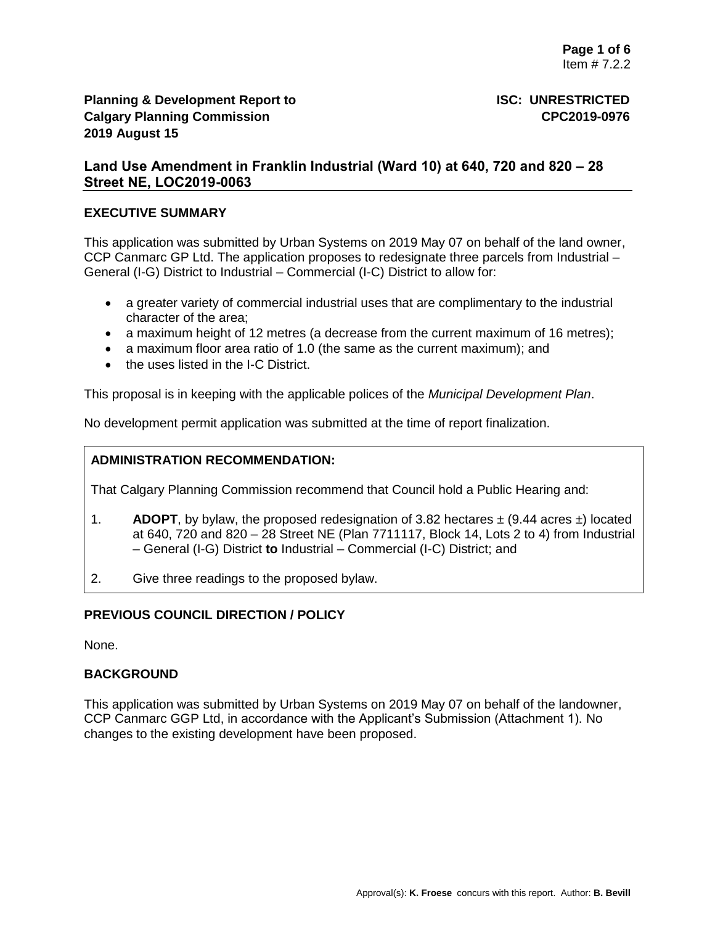# **Land Use Amendment in Franklin Industrial (Ward 10) at 640, 720 and 820 – 28 Street NE, LOC2019-0063**

#### **EXECUTIVE SUMMARY**

This application was submitted by Urban Systems on 2019 May 07 on behalf of the land owner, CCP Canmarc GP Ltd. The application proposes to redesignate three parcels from Industrial – General (I-G) District to Industrial – Commercial (I-C) District to allow for:

- a greater variety of commercial industrial uses that are complimentary to the industrial character of the area;
- a maximum height of 12 metres (a decrease from the current maximum of 16 metres);
- a maximum floor area ratio of 1.0 (the same as the current maximum); and
- the uses listed in the I-C District.

This proposal is in keeping with the applicable polices of the *Municipal Development Plan*.

No development permit application was submitted at the time of report finalization.

# **ADMINISTRATION RECOMMENDATION:**

That Calgary Planning Commission recommend that Council hold a Public Hearing and:

- 1. **ADOPT**, by bylaw, the proposed redesignation of 3.82 hectares  $\pm$  (9.44 acres  $\pm$ ) located at 640, 720 and 820 – 28 Street NE (Plan 7711117, Block 14, Lots 2 to 4) from Industrial – General (I-G) District **to** Industrial – Commercial (I-C) District; and
- 2. Give three readings to the proposed bylaw.

# **PREVIOUS COUNCIL DIRECTION / POLICY**

None.

# **BACKGROUND**

This application was submitted by Urban Systems on 2019 May 07 on behalf of the landowner, CCP Canmarc GGP Ltd, in accordance with the Applicant's Submission (Attachment 1). No changes to the existing development have been proposed.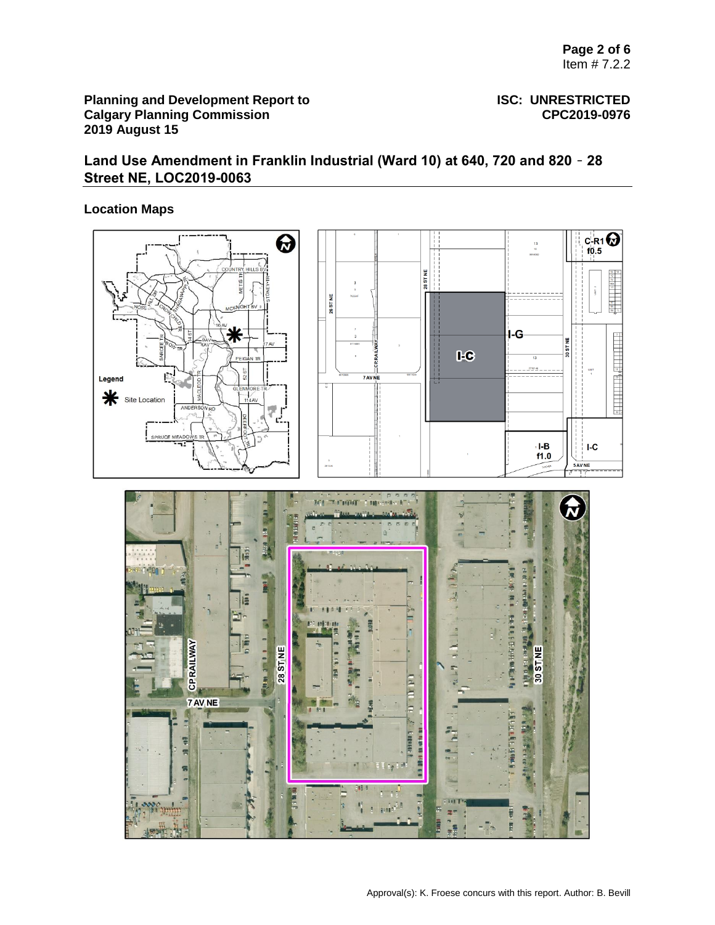# **Land Use Amendment in Franklin Industrial (Ward 10) at 640, 720 and 820** – **28 Street NE, LOC2019-0063**

# **Location Maps**

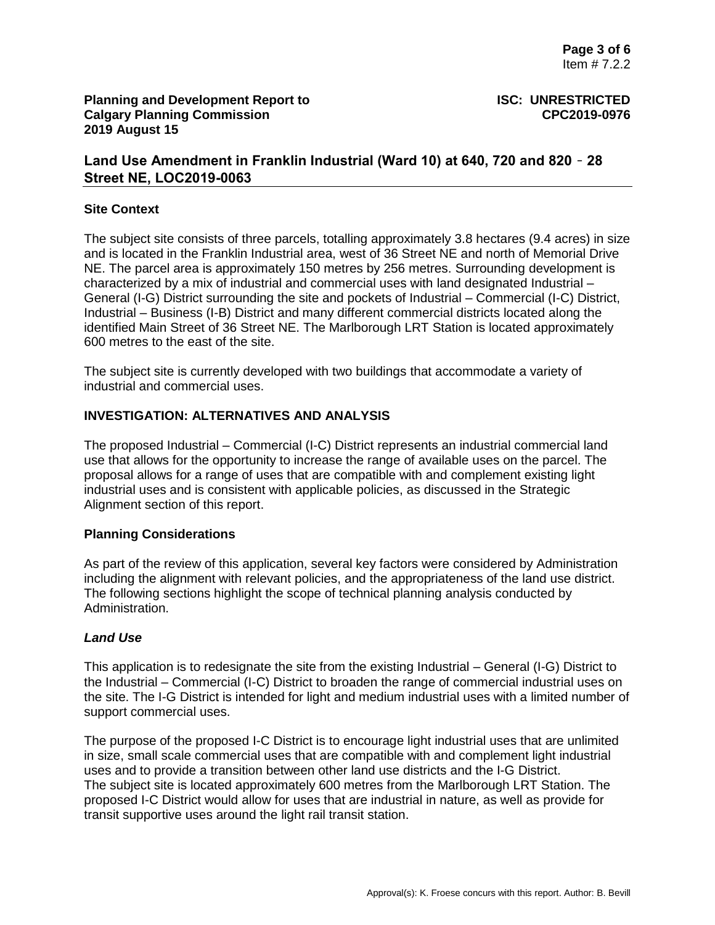# **Land Use Amendment in Franklin Industrial (Ward 10) at 640, 720 and 820** – **28 Street NE, LOC2019-0063**

## **Site Context**

The subject site consists of three parcels, totalling approximately 3.8 hectares (9.4 acres) in size and is located in the Franklin Industrial area, west of 36 Street NE and north of Memorial Drive NE. The parcel area is approximately 150 metres by 256 metres. Surrounding development is characterized by a mix of industrial and commercial uses with land designated Industrial – General (I-G) District surrounding the site and pockets of Industrial – Commercial (I-C) District, Industrial – Business (I-B) District and many different commercial districts located along the identified Main Street of 36 Street NE. The Marlborough LRT Station is located approximately 600 metres to the east of the site.

The subject site is currently developed with two buildings that accommodate a variety of industrial and commercial uses.

#### **INVESTIGATION: ALTERNATIVES AND ANALYSIS**

The proposed Industrial – Commercial (I-C) District represents an industrial commercial land use that allows for the opportunity to increase the range of available uses on the parcel. The proposal allows for a range of uses that are compatible with and complement existing light industrial uses and is consistent with applicable policies, as discussed in the Strategic Alignment section of this report.

#### **Planning Considerations**

As part of the review of this application, several key factors were considered by Administration including the alignment with relevant policies, and the appropriateness of the land use district. The following sections highlight the scope of technical planning analysis conducted by Administration.

#### *Land Use*

This application is to redesignate the site from the existing Industrial – General (I-G) District to the Industrial – Commercial (I-C) District to broaden the range of commercial industrial uses on the site. The I-G District is intended for light and medium industrial uses with a limited number of support commercial uses.

The purpose of the proposed I-C District is to encourage light industrial uses that are unlimited in size, small scale commercial uses that are compatible with and complement light industrial uses and to provide a transition between other land use districts and the I-G District. The subject site is located approximately 600 metres from the Marlborough LRT Station. The proposed I-C District would allow for uses that are industrial in nature, as well as provide for transit supportive uses around the light rail transit station.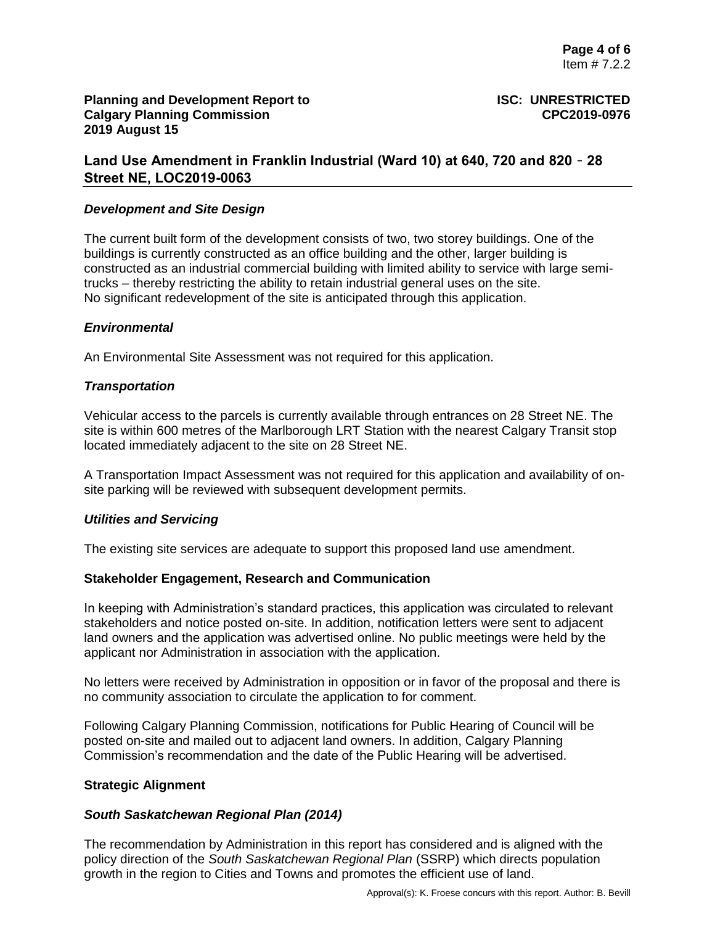# **Land Use Amendment in Franklin Industrial (Ward 10) at 640, 720 and 820** – **28 Street NE, LOC2019-0063**

#### *Development and Site Design*

The current built form of the development consists of two, two storey buildings. One of the buildings is currently constructed as an office building and the other, larger building is constructed as an industrial commercial building with limited ability to service with large semitrucks – thereby restricting the ability to retain industrial general uses on the site. No significant redevelopment of the site is anticipated through this application.

## *Environmental*

An Environmental Site Assessment was not required for this application.

## *Transportation*

Vehicular access to the parcels is currently available through entrances on 28 Street NE. The site is within 600 metres of the Marlborough LRT Station with the nearest Calgary Transit stop located immediately adjacent to the site on 28 Street NE.

A Transportation Impact Assessment was not required for this application and availability of onsite parking will be reviewed with subsequent development permits.

#### *Utilities and Servicing*

The existing site services are adequate to support this proposed land use amendment.

#### **Stakeholder Engagement, Research and Communication**

In keeping with Administration's standard practices, this application was circulated to relevant stakeholders and notice posted on-site. In addition, notification letters were sent to adjacent land owners and the application was advertised online. No public meetings were held by the applicant nor Administration in association with the application.

No letters were received by Administration in opposition or in favor of the proposal and there is no community association to circulate the application to for comment.

Following Calgary Planning Commission, notifications for Public Hearing of Council will be posted on-site and mailed out to adjacent land owners. In addition, Calgary Planning Commission's recommendation and the date of the Public Hearing will be advertised.

#### **Strategic Alignment**

#### *South Saskatchewan Regional Plan (2014)*

The recommendation by Administration in this report has considered and is aligned with the policy direction of the *South Saskatchewan Regional Plan* (SSRP) which directs population growth in the region to Cities and Towns and promotes the efficient use of land.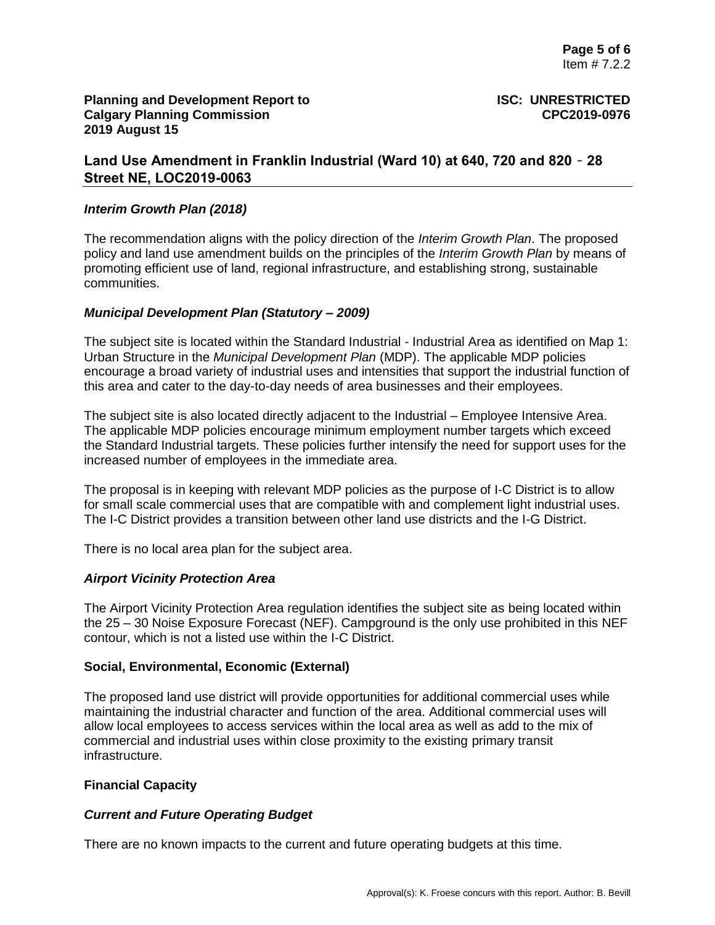# **Land Use Amendment in Franklin Industrial (Ward 10) at 640, 720 and 820** – **28 Street NE, LOC2019-0063**

## *Interim Growth Plan (2018)*

The recommendation aligns with the policy direction of the *Interim Growth Plan*. The proposed policy and land use amendment builds on the principles of the *Interim Growth Plan* by means of promoting efficient use of land, regional infrastructure, and establishing strong, sustainable communities.

## *Municipal Development Plan (Statutory – 2009)*

The subject site is located within the Standard Industrial - Industrial Area as identified on Map 1: Urban Structure in the *Municipal Development Plan* (MDP). The applicable MDP policies encourage a broad variety of industrial uses and intensities that support the industrial function of this area and cater to the day-to-day needs of area businesses and their employees.

The subject site is also located directly adjacent to the Industrial – Employee Intensive Area. The applicable MDP policies encourage minimum employment number targets which exceed the Standard Industrial targets. These policies further intensify the need for support uses for the increased number of employees in the immediate area.

The proposal is in keeping with relevant MDP policies as the purpose of I-C District is to allow for small scale commercial uses that are compatible with and complement light industrial uses. The I-C District provides a transition between other land use districts and the I-G District.

There is no local area plan for the subject area.

# *Airport Vicinity Protection Area*

The Airport Vicinity Protection Area regulation identifies the subject site as being located within the 25 – 30 Noise Exposure Forecast (NEF). Campground is the only use prohibited in this NEF contour, which is not a listed use within the I-C District.

#### **Social, Environmental, Economic (External)**

The proposed land use district will provide opportunities for additional commercial uses while maintaining the industrial character and function of the area. Additional commercial uses will allow local employees to access services within the local area as well as add to the mix of commercial and industrial uses within close proximity to the existing primary transit infrastructure.

#### **Financial Capacity**

# *Current and Future Operating Budget*

There are no known impacts to the current and future operating budgets at this time.